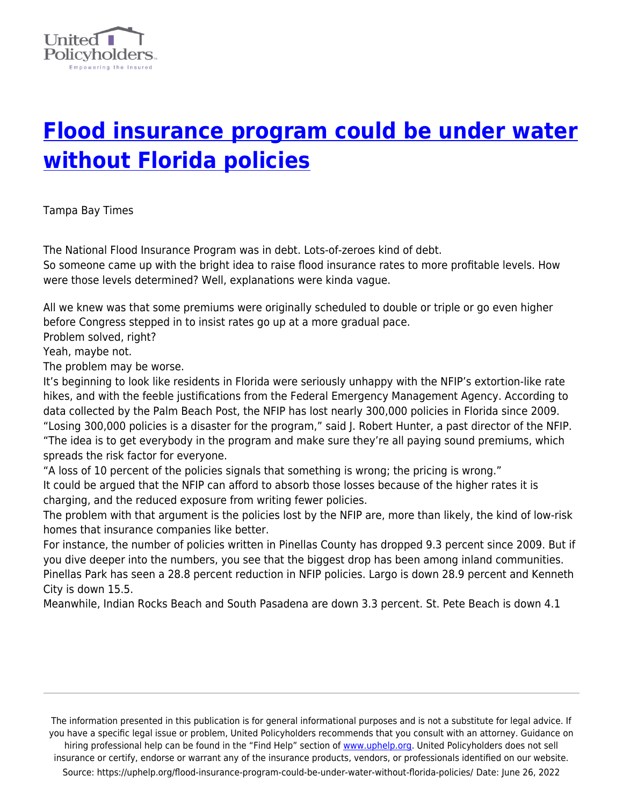

## **[Flood insurance program could be under water](https://uphelp.org/flood-insurance-program-could-be-under-water-without-florida-policies/) [without Florida policies](https://uphelp.org/flood-insurance-program-could-be-under-water-without-florida-policies/)**

Tampa Bay Times

The National Flood Insurance Program was in debt. Lots-of-zeroes kind of debt. So someone came up with the bright idea to raise flood insurance rates to more profitable levels. How were those levels determined? Well, explanations were kinda vague.

All we knew was that some premiums were originally scheduled to double or triple or go even higher before Congress stepped in to insist rates go up at a more gradual pace.

Problem solved, right?

Yeah, maybe not.

The problem may be worse.

It's beginning to look like residents in Florida were seriously unhappy with the NFIP's extortion-like rate hikes, and with the feeble justifications from the Federal Emergency Management Agency. According to data collected by the Palm Beach Post, the NFIP has lost nearly 300,000 policies in Florida since 2009. "Losing 300,000 policies is a disaster for the program," said J. Robert Hunter, a past director of the NFIP. "The idea is to get everybody in the program and make sure they're all paying sound premiums, which spreads the risk factor for everyone.

"A loss of 10 percent of the policies signals that something is wrong; the pricing is wrong." It could be argued that the NFIP can afford to absorb those losses because of the higher rates it is charging, and the reduced exposure from writing fewer policies.

The problem with that argument is the policies lost by the NFIP are, more than likely, the kind of low-risk homes that insurance companies like better.

For instance, the number of policies written in Pinellas County has dropped 9.3 percent since 2009. But if you dive deeper into the numbers, you see that the biggest drop has been among inland communities. Pinellas Park has seen a 28.8 percent reduction in NFIP policies. Largo is down 28.9 percent and Kenneth City is down 15.5.

Meanwhile, Indian Rocks Beach and South Pasadena are down 3.3 percent. St. Pete Beach is down 4.1

The information presented in this publication is for general informational purposes and is not a substitute for legal advice. If you have a specific legal issue or problem, United Policyholders recommends that you consult with an attorney. Guidance on hiring professional help can be found in the "Find Help" section of [www.uphelp.org.](http://www.uphelp.org/) United Policyholders does not sell insurance or certify, endorse or warrant any of the insurance products, vendors, or professionals identified on our website. Source: https://uphelp.org/flood-insurance-program-could-be-under-water-without-florida-policies/ Date: June 26, 2022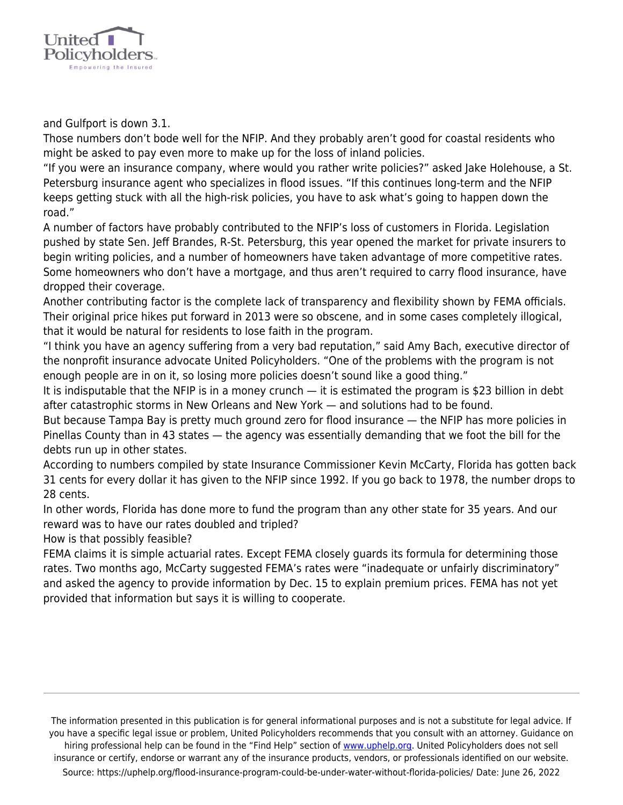

and Gulfport is down 3.1.

Those numbers don't bode well for the NFIP. And they probably aren't good for coastal residents who might be asked to pay even more to make up for the loss of inland policies.

"If you were an insurance company, where would you rather write policies?" asked Jake Holehouse, a St. Petersburg insurance agent who specializes in flood issues. "If this continues long-term and the NFIP keeps getting stuck with all the high-risk policies, you have to ask what's going to happen down the road."

A number of factors have probably contributed to the NFIP's loss of customers in Florida. Legislation pushed by state Sen. Jeff Brandes, R-St. Petersburg, this year opened the market for private insurers to begin writing policies, and a number of homeowners have taken advantage of more competitive rates. Some homeowners who don't have a mortgage, and thus aren't required to carry flood insurance, have dropped their coverage.

Another contributing factor is the complete lack of transparency and flexibility shown by FEMA officials. Their original price hikes put forward in 2013 were so obscene, and in some cases completely illogical, that it would be natural for residents to lose faith in the program.

"I think you have an agency suffering from a very bad reputation," said Amy Bach, executive director of the nonprofit insurance advocate United Policyholders. "One of the problems with the program is not enough people are in on it, so losing more policies doesn't sound like a good thing."

It is indisputable that the NFIP is in a money crunch — it is estimated the program is \$23 billion in debt after catastrophic storms in New Orleans and New York — and solutions had to be found.

But because Tampa Bay is pretty much ground zero for flood insurance — the NFIP has more policies in Pinellas County than in 43 states — the agency was essentially demanding that we foot the bill for the debts run up in other states.

According to numbers compiled by state Insurance Commissioner Kevin McCarty, Florida has gotten back 31 cents for every dollar it has given to the NFIP since 1992. If you go back to 1978, the number drops to 28 cents.

In other words, Florida has done more to fund the program than any other state for 35 years. And our reward was to have our rates doubled and tripled?

How is that possibly feasible?

FEMA claims it is simple actuarial rates. Except FEMA closely guards its formula for determining those rates. Two months ago, McCarty suggested FEMA's rates were "inadequate or unfairly discriminatory" and asked the agency to provide information by Dec. 15 to explain premium prices. FEMA has not yet provided that information but says it is willing to cooperate.

The information presented in this publication is for general informational purposes and is not a substitute for legal advice. If you have a specific legal issue or problem, United Policyholders recommends that you consult with an attorney. Guidance on hiring professional help can be found in the "Find Help" section of [www.uphelp.org.](http://www.uphelp.org/) United Policyholders does not sell insurance or certify, endorse or warrant any of the insurance products, vendors, or professionals identified on our website. Source: https://uphelp.org/flood-insurance-program-could-be-under-water-without-florida-policies/ Date: June 26, 2022